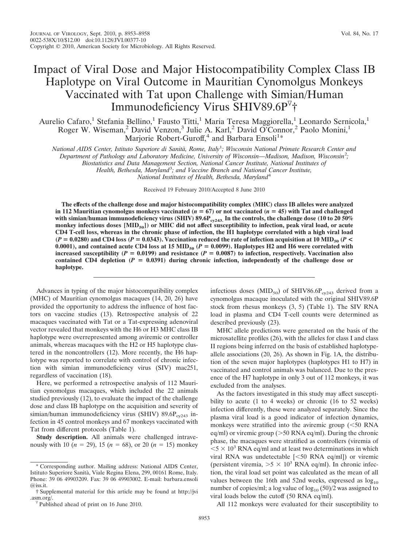## Impact of Viral Dose and Major Histocompatibility Complex Class IB Haplotype on Viral Outcome in Mauritian Cynomolgus Monkeys Vaccinated with Tat upon Challenge with Simian/Human Immunodeficiency Virus SHIV89.6P †

Aurelio Cafaro,<sup>1</sup> Stefania Bellino,<sup>1</sup> Fausto Titti,<sup>1</sup> Maria Teresa Maggiorella,<sup>1</sup> Leonardo Sernicola,<sup>1</sup> Roger W. Wiseman,<sup>2</sup> David Venzon,<sup>3</sup> Julie A. Karl,<sup>2</sup> David O'Connor,<sup>2</sup> Paolo Monini,<sup>1</sup> Marjorie Robert-Guroff,<sup>4</sup> and Barbara Ensoli<sup>1</sup>\*

*National AIDS Center, Istituto Superiore di Sanita`, Rome, Italy*<sup>1</sup> *; Wisconsin National Primate Research Center and*

*Department of Pathology and Laboratory Medicine, University of Wisconsin—Madison, Madison, Wisconsin*<sup>2</sup> *;*

*Biostatistics and Data Management Section, National Cancer Institute, National Institutes of*

*Health, Bethesda, Maryland*<sup>3</sup> *; and Vaccine Branch and National Cancer Institute,*

*National Institutes of Health, Bethesda, Maryland*<sup>4</sup>

Received 19 February 2010/Accepted 8 June 2010

**The effects of the challenge dose and major histocompatibility complex (MHC) class IB alleles were analyzed in 112 Mauritian cynomolgus monkeys vaccinated (** $n = 67$ **) or not vaccinated (** $n = 45$ **) with Tat and challenged** with simian/human immunodeficiency virus (SHIV) 89.6P<sub>cy243</sub>. In the controls, the challenge dose (10 to 20 50% **monkey infectious doses [MID50]) or MHC did not affect susceptibility to infection, peak viral load, or acute CD4 T-cell loss, whereas in the chronic phase of infection, the H1 haplotype correlated with a high viral load**  $(P = 0.0280)$  and CD4 loss  $(P = 0.0343)$ . Vaccination reduced the rate of infection acquisition at 10 MID<sub>50</sub>  $(P <$ 0.0001), and contained acute CD4 loss at 15  $\text{MID}_{50}$  ( $P = 0.0099$ ). Haplotypes H2 and H6 were correlated with **increased susceptibility (** $P = 0.0199$ **) and resistance (** $P = 0.0087$ **) to infection, respectively. Vaccination also** contained CD4 depletion  $(P = 0.0391)$  during chronic infection, independently of the challenge dose or **haplotype.**

Advances in typing of the major histocompatibility complex (MHC) of Mauritian cynomolgus macaques (14, 20, 26) have provided the opportunity to address the influence of host factors on vaccine studies (13). Retrospective analysis of 22 macaques vaccinated with Tat or a Tat-expressing adenoviral vector revealed that monkeys with the H6 or H3 MHC class IB haplotype were overrepresented among aviremic or controller animals, whereas macaques with the H2 or H5 haplotype clustered in the noncontrollers (12). More recently, the H6 haplotype was reported to correlate with control of chronic infection with simian immunodeficiency virus (SIV) mac251, regardless of vaccination (18).

Here, we performed a retrospective analysis of 112 Mauritian cynomolgus macaques, which included the 22 animals studied previously (12), to evaluate the impact of the challenge dose and class IB haplotype on the acquisition and severity of simian/human immunodeficiency virus (SHIV) 89.6P $_{cv243}$  infection in 45 control monkeys and 67 monkeys vaccinated with Tat from different protocols (Table 1).

**Study description.** All animals were challenged intravenously with 10 ( $n = 29$ ), 15 ( $n = 68$ ), or 20 ( $n = 15$ ) monkey infectious doses  $(MID_{50})$  of SHIV86.6P<sub>cy243</sub> derived from a cynomolgus macaque inoculated with the original SHIV89.6P stock from rhesus monkeys (3, 5) (Table 1). The SIV RNA load in plasma and CD4 T-cell counts were determined as described previously (23).

MHC allele predictions were generated on the basis of the microsatellite profiles (26), with the alleles for class I and class II regions being inferred on the basis of established haplotypeallele associations (20, 26). As shown in Fig. 1A, the distribution of the seven major haplotypes (haplotypes H1 to H7) in vaccinated and control animals was balanced. Due to the presence of the H7 haplotype in only 3 out of 112 monkeys, it was excluded from the analyses.

As the factors investigated in this study may affect susceptibility to acute (1 to 4 weeks) or chronic (16 to 52 weeks) infection differently, these were analyzed separately. Since the plasma viral load is a good indicator of infection dynamics, monkeys were stratified into the aviremic group  $(< 50$  RNA eq/ml) or viremic group ( $>50$  RNA eq/ml). During the chronic phase, the macaques were stratified as controllers (viremia of  $<$  5  $\times$  10<sup>3</sup> RNA eq/ml and at least two determinations in which viral RNA was undetectable [<50 RNA eq/ml]) or viremic (persistent viremia,  $>5 \times 10^3$  RNA eq/ml). In chronic infection, the viral load set point was calculated as the mean of all values between the 16th and 52nd weeks, expressed as  $log_{10}$ number of copies/ml; a log value of  $log_{10} (50)/2$  was assigned to viral loads below the cutoff (50 RNA eq/ml).

All 112 monkeys were evaluated for their susceptibility to

<sup>\*</sup> Corresponding author. Mailing address: National AIDS Center, Istituto Superiore Sanita`, Viale Regina Elena, 299, 00161 Rome, Italy. Phone: 39 06 49903209. Fax: 39 06 49903002. E-mail: barbara.ensoli  $\omega$  iss. it.

<sup>†</sup> Supplemental material for this article may be found at http://jvi .asm.org/.<br><sup> $\sqrt{v}$ </sup> Published ahead of print on 16 June 2010.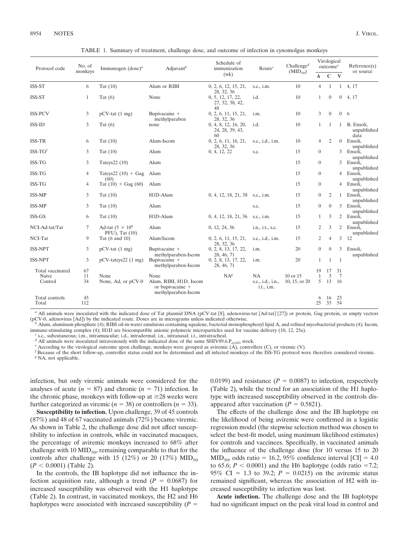| Protocol code           | No. of<br>monkeys | Immunogen $(dose)^a$                             | Adjuvant <sup>b</sup>                                       | Schedule of<br>immunization                        | Route <sup>c</sup>                           | Challenge <sup><math>d</math></sup><br>$(MID_{50})$ | Virological<br>outcome <sup>e</sup> |                |                | Reference(s)                     |
|-------------------------|-------------------|--------------------------------------------------|-------------------------------------------------------------|----------------------------------------------------|----------------------------------------------|-----------------------------------------------------|-------------------------------------|----------------|----------------|----------------------------------|
|                         |                   |                                                  |                                                             | (wk)                                               |                                              |                                                     | A                                   | $\mathbf C$    | $\mathbf{V}$   | or source                        |
| ISS-ST                  | 6                 | Tat $(10)$                                       | Alum or RIBI                                                | 0, 2, 6, 12, 15, 21,                               | s.c., i.m.                                   | 10                                                  | $\overline{4}$                      | $\mathbf{1}$   | 1              | 4, 17                            |
| ISS-ST                  | $\mathbf{1}$      | Tat $(6)$                                        | None                                                        | 28, 32, 36<br>0, 5, 12, 17, 22,<br>27, 32, 38, 42, | i.d.                                         | 10                                                  | $\mathbf{1}$                        | $\theta$       | $\overline{0}$ | 4, 17                            |
| <b>ISS-PCV</b>          | 3                 | $pCV-tat(1 mg)$                                  | Bupivacaine +<br>methylparaben                              | 48<br>0, 2, 6, 11, 15, 21,<br>28, 32, 36           | i.m.                                         | 10                                                  | 3                                   | $\theta$       |                | 0 <sub>6</sub>                   |
| ISS-ID                  | 3                 | Tat $(6)$                                        | none                                                        | 0, 4, 8, 12, 16, 20,<br>24, 28, 39, 43,            | i.d.                                         | 10                                                  | $\mathbf{1}$                        | 1              | $\mathbf{1}$   | B. Ensoli,<br>unpublished        |
| <b>ISS-TR</b>           | 6                 | Tat $(10)$                                       | Alum-Iscom                                                  | 60<br>0, 2, 6, 11, 16, 21,<br>28, 32, 36           | s.c., i.d., i.m.                             | 10                                                  | $\overline{4}$                      | 2              |                | data<br>0 Ensoli,<br>unpublished |
| $ISS-TGf$               | 3                 | Tat $(10)$                                       | Alum                                                        | 0, 4, 12, 22                                       | s.c.                                         | 15                                                  | $\boldsymbol{0}$                    |                |                | 3 Ensoli.                        |
| ISS-TG                  | 3                 | Tatcys22 (10)                                    | Alum                                                        |                                                    |                                              | 15                                                  | $\boldsymbol{0}$                    |                | 3              | unpublished<br>Ensoli,           |
| ISS-TG                  | $\overline{4}$    | Tatcys22 $(10) +$ Gag                            | Alum                                                        |                                                    |                                              | 15                                                  | $\boldsymbol{0}$                    |                |                | unpublished<br>4 Ensoli,         |
| ISS-TG                  | $\overline{4}$    | (60)<br>Tat $(10) +$ Gag $(60)$                  | Alum                                                        |                                                    |                                              | 15                                                  | $\boldsymbol{0}$                    |                |                | unpublished<br>4 Ensoli.         |
| ISS-MP                  | 3                 | Tat $(10)$                                       | H1D-Alum                                                    | 0, 4, 12, 18, 21, 38                               | s.c., <i>i.m.</i>                            | 15                                                  | $\boldsymbol{0}$                    | 2              |                | unpublished<br>1 Ensoli,         |
| <b>ISS-MP</b>           | 3                 | Tat $(10)$                                       | Alum                                                        |                                                    | s.c.                                         | 15                                                  | $\overline{0}$                      | $\theta$       |                | unpublished<br>3 Ensoli,         |
| ISS-GS                  | 6                 | Tat $(10)$                                       | H1D-Alum                                                    | 0, 4, 12, 18, 21, 36                               | s.c., i.m.                                   | 15                                                  | 1                                   | 3              |                | unpublished<br>2 Ensoli,         |
| NCI-Ad-tat/Tat          | 7                 | Ad-tat $(5 \times 10^8)$                         | Alum                                                        | 0, 12, 24, 36                                      | i.n., i.t., s.c.                             | 15                                                  | $\overline{c}$                      | 3              |                | unpublished<br>2 Ensoli,         |
| NCI-Tat                 | 9                 | $PFU$ ), Tat $(10)$<br>Tat $(6 \text{ and } 10)$ | Alum/Iscom                                                  | 0, 2, 6, 11, 15, 21,                               | s.c., i.d., i.m.                             | 15                                                  | 2                                   | $\overline{4}$ | 3              | unpublished<br>12                |
| <b>ISS-NPT</b>          | 3                 | $pCV-tat(1 mg)$                                  | Bupivacaine +                                               | 28, 32, 36<br>0, 2, 8, 13, 17, 22,                 | i.m.                                         | 20                                                  | $\overline{0}$                      | $\theta$       | 3              | Ensoli.                          |
| <b>ISS-NPT</b>          | 3                 | $pCV-tatcys22$ (1 mg)                            | methylparaben-Iscom<br>Bupivacaine +<br>methylparaben-Iscom | 28, 46, 71<br>0, 2, 8, 13, 17, 22,<br>28, 46, 71   | i.m.                                         | 20                                                  | $\mathbf{1}$                        | $\mathbf{1}$   | $\mathbf{1}$   | unpublished                      |
| Total vaccinated        | 67                |                                                  |                                                             |                                                    |                                              |                                                     | 19                                  | 17             | 31             |                                  |
| Naive<br>Control        | 11<br>34          | None<br>None, Ad, or pCV-0                       | None<br>Alum, RIBI, H1D, Iscom<br>or bupivacaine +          | $NA^g$                                             | <b>NA</b><br>s.c., i.d., i.n.,<br>i.t., i.m. | 10 or 15<br>10, 15, or 20                           | 1<br>5 <sup>5</sup>                 | 3<br>13        | 7<br>- 16      |                                  |
|                         |                   |                                                  | methylparaben-Iscom                                         |                                                    |                                              |                                                     |                                     |                |                |                                  |
| Total controls<br>Total | 45<br>112         |                                                  |                                                             |                                                    |                                              |                                                     | 6<br>25                             | 16<br>33       | 23<br>54       |                                  |

TABLE 1. Summary of treatment, challenge dose, and outcome of infection in cynomolgus monkeys

<sup>*a*</sup> All animals were inoculated with the indicated dose of Tat plasmid DNA (pCV-tat [8], adenovirus-tat [Ad-tat] [27]) or protein, Gag protein, or empty vectors (pCV-0, adenovirus [Ad]) by the indicated route. Doses are

Alum, aluminum phosphate (4); RIBI oil-in-water emulsions containing squalene, bacterial monophosphoryl lipid A, and refined mycobacterial products (4); Iscom, immune-stimulating complex (4); H1D are biocompatible anionic polymeric microparticles used for vaccine delivery (10, 12, 25a).<br>  $\epsilon$  s.c., subcutaneous; i.m., intramuscular; i.d., intradermal; i.n., intranasal; i.t., int

<sup>4</sup> All animals were inoculated intravenously with the indicated dose of the same SHIV89.6.P<sub>cy243</sub> stock.<br>According to the virological outcome upon challenge, monkeys were grouped as aviremic (A), controllers (C), or vir

*<sup>f</sup>* Because of the short follow-up, controller status could not be determined and all infected monkeys of the ISS-TG protocol were therefore considered viremic. *<sup>g</sup>* NA, not applicable.

infection, but only viremic animals were considered for the analyses of acute  $(n = 87)$  and chronic  $(n = 71)$  infection. In the chronic phase, monkeys with follow-up at  $\geq 28$  weeks were further categorized as viremic  $(n = 38)$  or controllers  $(n = 33)$ .

**Susceptibility to infection.** Upon challenge, 39 of 45 controls (87%) and 48 of 67 vaccinated animals (72%) became viremic. As shown in Table 2, the challenge dose did not affect susceptibility to infection in controls, while in vaccinated macaques, the percentage of aviremic monkeys increased to 68% after challenge with 10  $MID_{50}$ , remaining comparable to that for the controls after challenge with 15 (12%) or 20 (17%)  $\text{MID}_{50}$  $(P < 0.0001)$  (Table 2).

In the controls, the IB haplotype did not influence the infection acquisition rate, although a trend  $(P = 0.0687)$  for increased susceptibility was observed with the H1 haplotype (Table 2). In contrast, in vaccinated monkeys, the H2 and H6 haplotypes were associated with increased susceptibility  $(P =$ 

0.0199) and resistance  $(P = 0.0087)$  to infection, respectively (Table 2), while the trend for an association of the H1 haplotype with increased susceptibility observed in the controls disappeared after vaccination  $(P = 0.5821)$ .

The effects of the challenge dose and the IB haplotype on the likelihood of being aviremic were confirmed in a logistic regression model (the stepwise selection method was chosen to select the best-fit model, using maximum likelihood estimates) for controls and vaccinees. Specifically, in vaccinated animals the influence of the challenge dose (for 10 versus 15 to 20  $MID<sub>50</sub>$ , odds ratio = 16.2, 95% confidence interval [CI] = 4.0 to 65.6;  $P < 0.0001$ ) and the H6 haplotype (odds ratio =7.2; 95% CI = 1.3 to 39.2;  $P = 0.0215$ ) on the aviremic status remained significant, whereas the association of H2 with increased susceptibility to infection was lost.

**Acute infection.** The challenge dose and the IB haplotype had no significant impact on the peak viral load in control and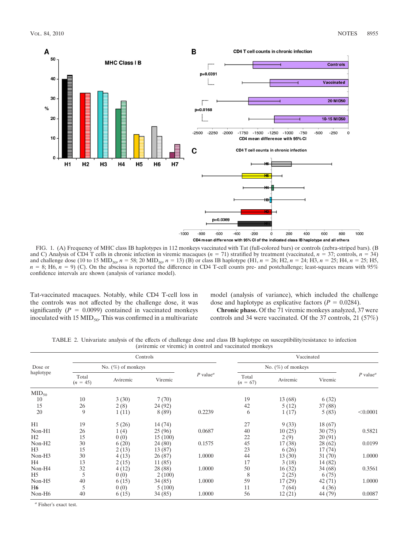

FIG. 1. (A) Frequency of MHC class IB haplotypes in 112 monkeys vaccinated with Tat (full-colored bars) or controls (zebra-striped bars). (B and C) Analysis of CD4 T cells in chronic infection in viremic macaques ( $n = 71$ ) stratified by treatment (vaccinated,  $n = 37$ ; controls,  $n = 34$ ) and challenge dose (10 to 15 MID<sub>50</sub>,  $n = 58$ ; 20 MID<sub>50</sub>,  $n = 13$ ) (B) or class IB haplotype (H1,  $n = 26$ ; H2,  $n = 24$ ; H3,  $n = 25$ ; H4,  $n = 25$ ; H5,  $n = 8$ ; H6,  $n = 9$ ) (C). On the abscissa is reported the difference in CD4 T-cell counts pre- and postchallenge; least-squares means with 95% confidence intervals are shown (analysis of variance model).

Tat-vaccinated macaques. Notably, while CD4 T-cell loss in the controls was not affected by the challenge dose, it was significantly  $(P = 0.0099)$  contained in vaccinated monkeys inoculated with 15  $\text{MID}_{50}$ . This was confirmed in a multivariate model (analysis of variance), which included the challenge dose and haplotype as explicative factors  $(P = 0.0284)$ .

**Chronic phase.** Of the 71 viremic monkeys analyzed, 37 were controls and 34 were vaccinated. Of the 37 controls, 21 (57%)

TABLE 2. Univariate analysis of the effects of challenge dose and class IB haplotype on susceptibility/resistance to infection (aviremic or viremic) in control and vaccinated monkeys

| Dose or<br>haplotype |                       | Controls |         |                                     |                       | Vaccinated |         |                                     |  |  |
|----------------------|-----------------------|----------|---------|-------------------------------------|-----------------------|------------|---------|-------------------------------------|--|--|
|                      | No. $(\%)$ of monkeys |          |         |                                     | No. $(\%)$ of monkeys |            |         |                                     |  |  |
|                      | Total<br>$(n = 45)$   | Aviremic | Viremic | $P$ value <sup><math>a</math></sup> | Total<br>$(n = 67)$   | Aviremic   | Viremic | $P$ value <sup><math>a</math></sup> |  |  |
| $MID_{50}$           |                       |          |         |                                     |                       |            |         |                                     |  |  |
| 10                   | 10                    | 3(30)    | 7(70)   |                                     | 19                    | 13 (68)    | 6(32)   |                                     |  |  |
| 15                   | 26                    | 2(8)     | 24 (92) |                                     | 42                    | 5(12)      | 37(88)  |                                     |  |  |
| 20                   | 9                     | 1(11)    | 8 (89)  | 0.2239                              | 6                     | 1(17)      | 5(83)   | < 0.0001                            |  |  |
| H1                   | 19                    | 5(26)    | 14 (74) |                                     | 27                    | 9(33)      | 18(67)  |                                     |  |  |
| Non-H1               | 26                    | 1(4)     | 25(96)  | 0.0687                              | 40                    | 10(25)     | 30(75)  | 0.5821                              |  |  |
| H2                   | 15                    | 0(0)     | 15(100) |                                     | 22                    | 2(9)       | 20(91)  |                                     |  |  |
| Non-H <sub>2</sub>   | 30                    | 6(20)    | 24(80)  | 0.1575                              | 45                    | 17(38)     | 28(62)  | 0.0199                              |  |  |
| H <sub>3</sub>       | 15                    | 2(13)    | 13(87)  |                                     | 23                    | 6(26)      | 17(74)  |                                     |  |  |
| Non-H <sub>3</sub>   | 30                    | 4(13)    | 26(87)  | 1.0000                              | 44                    | 13(30)     | 31(70)  | 1.0000                              |  |  |
| H4                   | 13                    | 2(15)    | 11(85)  |                                     | 17                    | 3(18)      | 14(82)  |                                     |  |  |
| Non-H4               | 32                    | 4(12)    | 28 (88) | 1.0000                              | 50                    | 16(32)     | 34(68)  | 0.3561                              |  |  |
| H <sub>5</sub>       | 5                     | 0(0)     | 2(100)  |                                     | 8                     | 2(25)      | 6(75)   |                                     |  |  |
| Non-H <sub>5</sub>   | 40                    | 6(15)    | 34(85)  | 1.0000                              | 59                    | 17(29)     | 42(71)  | 1.0000                              |  |  |
| H6                   | 5                     | 0(0)     | 5(100)  |                                     | 11                    | 7(64)      | 4(36)   |                                     |  |  |
| Non-H <sub>6</sub>   | 40                    | 6(15)    | 34(85)  | 1.0000                              | 56                    | 12(21)     | 44 (79) | 0.0087                              |  |  |

*<sup>a</sup>* Fisher's exact test.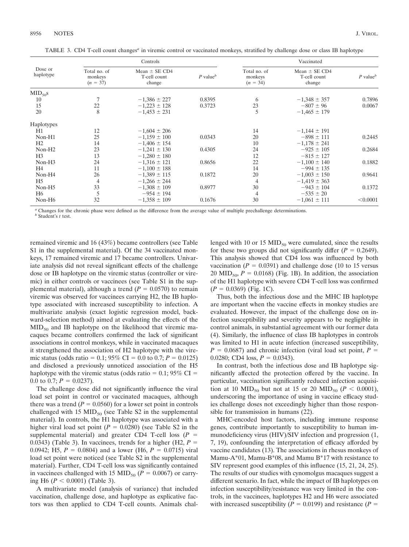| Dose or<br>haplotype |                                       | Controls                                    |                  | Vaccinated                            |                                             |                  |  |  |
|----------------------|---------------------------------------|---------------------------------------------|------------------|---------------------------------------|---------------------------------------------|------------------|--|--|
|                      | Total no. of<br>monkeys<br>$(n = 37)$ | Mean $\pm$ SE CD4<br>T-cell count<br>change | $P$ value $\phi$ | Total no. of<br>monkeys<br>$(n = 34)$ | Mean $\pm$ SE CD4<br>T-cell count<br>change | $P$ value $\phi$ |  |  |
| $MID_{50}S$          |                                       |                                             |                  |                                       |                                             |                  |  |  |
| 10                   | 7                                     | $-1,386 \pm 227$                            | 0.8395           | 6                                     | $-1,348 \pm 357$                            | 0.7896           |  |  |
| 15                   | 22                                    | $-1,223 \pm 128$                            | 0.3723           | 23                                    | $-807 \pm 96$                               | 0.0067           |  |  |
| 20                   | 8                                     | $-1,453 \pm 231$                            |                  | 5                                     | $-1,465 \pm 179$                            |                  |  |  |
| <b>Haplotypes</b>    |                                       |                                             |                  |                                       |                                             |                  |  |  |
| H1                   | 12                                    | $-1,604 \pm 206$                            |                  | 14                                    | $-1,144 \pm 191$                            |                  |  |  |
| $Non-H1$             | 25                                    | $-1,159 \pm 100$                            | 0.0343           | 20                                    | $-898 \pm 111$                              | 0.2445           |  |  |
| H2                   | 14                                    | $-1,406 \pm 154$                            |                  | 10                                    | $-1,178 \pm 241$                            |                  |  |  |
| Non-H <sub>2</sub>   | 23                                    | $-1,241 \pm 130$                            | 0.4305           | 24                                    | $-925 \pm 105$                              | 0.2684           |  |  |
| H <sub>3</sub>       | 13                                    | $-1,280 \pm 180$                            |                  | 12                                    | $-815 \pm 127$                              |                  |  |  |
| Non-H <sub>3</sub>   | 24                                    | $-1.316 \pm 121$                            | 0.8656           | 22                                    | $-1.100 \pm 140$                            | 0.1882           |  |  |
| H <sub>4</sub>       | 11                                    | $-1,100 \pm 188$                            |                  | 14                                    | $-994 \pm 135$                              |                  |  |  |
| Non-H <sub>4</sub>   | 26                                    | $-1.389 \pm 115$                            | 0.1872           | 20                                    | $-1,003 \pm 150$                            | 0.9641           |  |  |
| H <sub>5</sub>       | 4                                     | $-1,266 \pm 244$                            |                  | 4                                     | $-1,419 \pm 363$                            |                  |  |  |
| Non-H <sub>5</sub>   | 33                                    | $-1,308 \pm 109$                            | 0.8977           | 30                                    | $-943 \pm 104$                              | 0.1372           |  |  |
| H6                   | 5                                     | $-954 \pm 194$                              |                  | 4                                     | $-535 \pm 20$                               |                  |  |  |
| Non-H <sub>6</sub>   | 32                                    | $-1,358 \pm 109$                            | 0.1676           | 30                                    | $-1,061 \pm 111$                            | < 0.0001         |  |  |

TABLE 3. CD4 T-cell count changes*<sup>a</sup>* in viremic control or vaccinated monkeys, stratified by challenge dose or class IB haplotype

*<sup>a</sup>* Changes for the chronic phase were defined as the difference from the average value of multiple prechallenge determinations. *<sup>b</sup>* Student's *t* test.

remained viremic and 16 (43%) became controllers (see Table S1 in the supplemental material). Of the 34 vaccinated monkeys, 17 remained viremic and 17 became controllers. Univariate analysis did not reveal significant effects of the challenge dose or IB haplotype on the viremic status (controller or viremic) in either controls or vaccinees (see Table S1 in the supplemental material), although a trend  $(P = 0.0570)$  to remain viremic was observed for vaccinees carrying H2, the IB haplotype associated with increased susceptibility to infection. A multivariate analysis (exact logistic regression model, backward-selection method) aimed at evaluating the effects of the  $MID_{50}$  and IB haplotype on the likelihood that viremic macaques became controllers confirmed the lack of significant associations in control monkeys, while in vaccinated macaques it strengthened the association of H2 haplotype with the viremic status (odds ratio = 0.1; 95% CI = 0.0 to 0.7;  $P = 0.0125$ ) and disclosed a previously unnoticed association of the H5 haplotype with the viremic status (odds ratio  $= 0.1$ ; 95% CI  $=$ 0.0 to 0.7;  $P = 0.0237$ ).

The challenge dose did not significantly influence the viral load set point in control or vaccinated macaques, although there was a trend  $(P = 0.0560)$  for a lower set point in controls challenged with 15  $MID_{50}$  (see Table S2 in the supplemental material). In controls, the H1 haplotype was associated with a higher viral load set point ( $P = 0.0280$ ) (see Table S2 in the supplemental material) and greater CD4 T-cell loss  $(P =$ 0.0343) (Table 3). In vacciness, trends for a higher (H2,  $P =$ 0.0942; H5,  $P = 0.0804$ ) and a lower (H6,  $P = 0.0715$ ) viral load set point were noticed (see Table S2 in the supplemental material). Further, CD4 T-cell loss was significantly contained in vaccinees challenged with 15 MID<sub>50</sub> ( $P = 0.0067$ ) or carrying H6 ( $P < 0.0001$ ) (Table 3).

A multivariate model (analysis of variance) that included vaccination, challenge dose, and haplotype as explicative factors was then applied to CD4 T-cell counts. Animals challenged with 10 or 15  $\text{MID}_{50}$  were cumulated, since the results for these two groups did not significantly differ  $(P = 0.2649)$ . This analysis showed that CD4 loss was influenced by both vaccination ( $P = 0.0391$ ) and challenge dose (10 to 15 versus 20 MID<sub>50</sub>,  $P = 0.0168$ ) (Fig. 1B). In addition, the association of the H1 haplotype with severe CD4 T-cell loss was confirmed  $(P = 0.0369)$  (Fig. 1C).

Thus, both the infectious dose and the MHC IB haplotype are important when the vaccine effects in monkey studies are evaluated. However, the impact of the challenge dose on infection susceptibility and severity appears to be negligible in control animals, in substantial agreement with our former data (4). Similarly, the influence of class IB haplotypes in controls was limited to H1 in acute infection (increased susceptibility,  $P = 0.0687$ ) and chronic infection (viral load set point,  $P =$ 0.0280; CD4 loss,  $P = 0.0343$ ).

In contrast, both the infectious dose and IB haplotype significantly affected the protection offered by the vaccine. In particular, vaccination significantly reduced infection acquisition at 10  $\text{MID}_{50}$  but not at 15 or 20  $\text{MID}_{50}$  ( $P < 0.0001$ ), underscoring the importance of using in vaccine efficacy studies challenge doses not exceedingly higher than those responsible for transmission in humans (22).

MHC-encoded host factors, including immune response genes, contribute importantly to susceptibility to human immunodeficiency virus (HIV)/SIV infection and progression (1, 7, 19), confounding the interpretation of efficacy afforded by vaccine candidates (13). The associations in rhesus monkeys of Mamu-A\*01, Mamu-B\*08, and Mamu B\*17 with resistance to SIV represent good examples of this influence (15, 21, 24, 25). The results of our studies with cynomolgus macaques suggest a different scenario. In fact, while the impact of IB haplotypes on infection susceptibility/resistance was very limited in the controls, in the vaccinees, haplotypes H2 and H6 were associated with increased susceptibility ( $P = 0.0199$ ) and resistance ( $P =$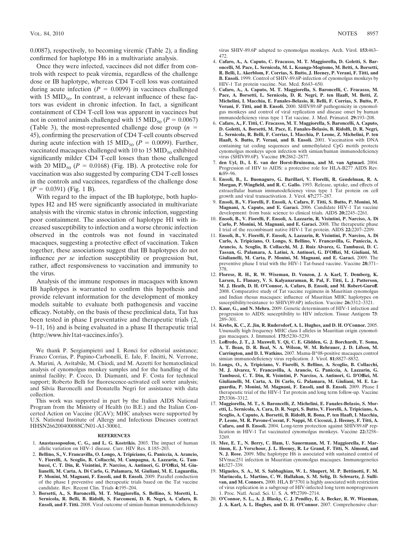0.0087), respectively, to becoming viremic (Table 2), a finding confirmed for haplotype H6 in a multivariate analysis.

Once they were infected, vaccinees did not differ from controls with respect to peak viremia, regardless of the challenge dose or IB haplotype, whereas CD4 T-cell loss was contained during acute infection  $(P = 0.0099)$  in vaccines challenged with 15  $MID_{50}$ . In contrast, a relevant influence of these factors was evident in chronic infection. In fact, a significant containment of CD4 T-cell loss was apparent in vaccinees but not in control animals challenged with 15 MID<sub>50</sub> ( $P = 0.0067$ ) (Table 3), the most-represented challenge dose group  $(n =$ 45), confirming the preservation of CD4 T-cell counts observed during acute infection with 15 MID<sub>50</sub> ( $P = 0.0099$ ). Further, vaccinated macaques challenged with 10 to 15  $\text{MID}_{50}$  exhibited significantly milder CD4 T-cell losses than those challenged with 20 MID<sub>50</sub>  $(P = 0.0168)$  (Fig. 1B). A protective role for vaccination was also suggested by comparing CD4 T-cell losses in the controls and vaccinees, regardless of the challenge dose  $(P = 0.0391)$  (Fig. 1 B).

With regard to the impact of the IB haplotype, both haplotypes H2 and H5 were significantly associated in multivariate analysis with the viremic status in chronic infection, suggesting poor containment. The association of haplotype H1 with increased susceptibility to infection and a worse chronic infection observed in the controls was not found in vaccinated macaques, suggesting a protective effect of vaccination. Taken together, these associations suggest that IB haplotypes do not influence *per se* infection susceptibility or progression but, rather, affect responsiveness to vaccination and immunity to the virus.

Analysis of the immune responses in macaques with known IB haplotypes is warranted to confirm this hypothesis and provide relevant information for the development of monkey models suitable to evaluate both pathogenesis and vaccine efficacy. Notably, on the basis of these preclinical data, Tat has been tested in phase I preventative and therapeutic trials (2, 9–11, 16) and is being evaluated in a phase II therapeutic trial (http://www.hiv1tat-vaccines.info/).

We thank P. Sergiampietri and I. Ronci for editorial assistance; Franco Corrias, P. Pupino-Carbonelli, E. Iale, F. Incitti, N. Verrone, A. Marini, A. Avitabile, M. Chiodi, and M. Azzetti for hematoclinical analysis of cynomolgus monkey samples and for the handling of the animal facility; P. Cocco, D. Diamanti, and F. Costa for technical support; Roberto Belli for fluorescence-activated cell sorter analysis; and Silvia Baroncelli and Donatella Negri for assistance with data collection.

This work was supported in part by the Italian AIDS National Program from the Ministry of Health (to B.E.) and the Italian Concerted Action on Vaccine (ICAV); MHC analyses were supported by U.S. National Institute of Allergy and Infectious Diseases contract HHSN266200400088C/N01-A1-30061.

## **REFERENCES**

- 1. **Anastassopoulou, C. G., and L. G. Kostrikis.** 2003. The impact of human allelic variation on HIV-1 disease. Curr. HIV Res. **1**:185–203.
- 2. **Bellino, S., V. Francavilla, O. Longo, A. Tripiciano, G. Paniccia, A. Arancio, V. Fiorelli, A. Scoglio, B. Collacchi, M. Campagna, A. Lazzarin, G. Tambussi, C. T. Din, R. Visintini, P. Narciso, A. Antinori, G. D'Offizi, M. Giulianelli, M. Carta, A. Di Carlo, G. Palamara, M. Giuliani, M. E. Laguardia, P. Monini, M. Magnani, F. Ensoli, and B. Ensoli.** 2009. Parallel conduction of the phase I preventive and therapeutic trials based on the Tat vaccine candidate. Rev. Recent Clin. Trials **4:**195–204.
- 3. **Borsetti, A., S. Baroncelli, M. T. Maggiorella, S. Bellino, S. Moretti, L. Sernicola, R. Belli, B. Ridolfi, S. Farcomeni, D. R. Negri, A. Cafaro, B. Ensoli, and F. Titti.** 2008. Viral outcome of simian-human immunodeficiency

virus SHIV-89.6P adapted to cynomolgus monkeys. Arch. Virol. **153:**463– 472.

- 4. **Cafaro, A., A. Caputo, C. Fracasso, M. T. Maggiorella, D. Goletti, S. Baroncelli, M. Pace, L. Sernicola, M. L. Koanga-Mogtomo, M. Betti, A. Borsetti, R. Belli, L. Akerblom, F. Corrias, S. Butto, J. Heeney, P. Verani, F. Titti, and B. Ensoli.** 1999. Control of SHIV-89.6P-infection of cynomolgus monkeys by HIV-1 Tat protein vaccine. Nat. Med. **5:**643–650.
- 5. **Cafaro, A., A. Caputo, M. T. Maggiorella, S. Baroncelli, C. Fracasso, M. Pace, A. Borsetti, L. Sernicola, D. R. Negri, P. ten Haaft, M. Betti, Z. Michelini, I. Macchia, E. Fanales-Belasio, R. Belli, F. Corrias, S. Butto, P. Verani, F. Titti, and B. Ensoli.** 2000. SHIV89.6P pathogenicity in cynomolgus monkeys and control of viral replication and disease onset by human immunodeficiency virus type 1 Tat vaccine. J. Med. Primatol. **29:**193–208.
- 6. **Cafaro, A., F. Titti, C. Fracasso, M. T. Maggiorella, S. Baroncelli, A. Caputo, D. Goletti, A. Borsetti, M. Pace, E. Fanales-Belasio, B. Ridolfi, D. R. Negri, L. Sernicola, R. Belli, F. Corrias, I. Macchia, P. Leone, Z. Michelini, P. ten Haaft, S. Butto, P. Verani, and B. Ensoli.** 2001. Vaccination with DNA containing tat coding sequences and unmethylated CpG motifs protects cynomolgus monkeys upon infection with simian/human immunodeficiency virus (SHIV89.6P). Vaccine **19:**2862–2877.
- 7. **den Uyl, D., I. E. van der Horst-Bruinsma, and M. van Agtmael.** 2004. Progression of HIV to AIDS: a protective role for HLA-B27? AIDS Rev. **6:**89–96.
- 8. **Ensoli, B., L. Buonaguro, G. Barillari, V. Fiorelli, R. Gendelman, R. A. Morgan, P. Wingfield, and R. C. Gallo.** 1993. Release, uptake, and effects of extracellular human immunodeficiency virus type 1 Tat protein on cell growth and viral transactivation. J. Virol. **67:**277–287.
- 9. **Ensoli, B., V. Fiorelli, F. Ensoli, A. Cafaro, F. Titti, S. Butto, P. Monini, M. Magnani, A. Caputo, and E. Garaci.** 2006. Candidate HIV-1 Tat vaccine development: from basic science to clinical trials. AIDS **20:**2245–2261.
- 10. **Ensoli, B., V. Fiorelli, F. Ensoli, A. Lazzarin, R. Visintini, P. Narciso, A. Di Carlo, P. Monini, M. Magnani, and E. Garaci.** 2008. The therapeutic phase I trial of the recombinant native HIV-1 Tat protein. AIDS **22:**2207–2209.
- 11. **Ensoli, B., V. Fiorelli, F. Ensoli, A. Lazzarin, R. Visintini, P. Narciso, A. Di Carlo, A. Tripiciano, O. Longo, S. Bellino, V. Francavilla, G. Paniccia, A. Arancio, A. Scoglio, B. Collacchi, M. J. Ruiz Alvarez, G. Tambussi, D. C. Tassan, G. Palamara, A. Latini, A. Antinori, G. D'Offizi, M. Giuliani, M. Giulianelli, M. Carta, P. Monini, M. Magnani, and E. Garaci.** 2009. The preventive phase I trial with the HIV-1 Tat-based vaccine. Vaccine **28:**371– 378.
- 12. **Florese, R. H., R. W. Wiseman, D. Venzon, J. A. Karl, T. Demberg, K. Larsen, L. Flanary, V. S. Kalyanaraman, R. Pal, F. Titti, L. J. Patterson, M. J. Heath, D. H. O'Connor, A. Cafaro, B. Ensoli, and M. Robert-Guroff.** 2008. Comparative study of Tat vaccine regimens in Mauritian cynomolgus and Indian rhesus macaques: influence of Mauritian MHC haplotypes on susceptibility/resistance to SHIV(89.6P) infection. Vaccine **26:**3312–3321.
- 13. **Kaur, G., and N. Mehra.** 2009. Genetic determinants of HIV-1 infection and progression to AIDS: susceptibility to HIV infection. Tissue Antigens **73**: 289–301.
- 14. **Krebs, K. C., Z. Jin, R. Rudersdorf, A. L. Hughes, and D. H. O'Connor.** 2005. Unusually high frequency MHC class I alleles in Mauritian origin cynomolgus macaques. J. Immunol. **175:**5230–5239.
- 15. **Loffredo, J. T., J. Maxwell, Y. Qi, C. E. Glidden, G. J. Borchardt, T. Soma, A. T. Bean, D. R. Beal, N. A. Wilson, W. M. Rehrauer, J. D. Lifson, M. Carrington, and D. I. Watkins.** 2007. Mamu-B\*08-positive macaques control simian immunodeficiency virus replication. J. Virol. **81:**8827–8832.
- 16. **Longo, O., A. Tripiciano, V. Fiorelli, S. Bellino, A. Scoglio, B. Collacchi, M. J. Alvarez, V. Francavilla, A. Arancio, G. Paniccia, A. Lazzarin, G. Tambussi, C. T. Din, R. Visintini, P. Narciso, A. Antinori, G. D'Offizi, M. Giulianelli, M. Carta, A. Di Carlo, G. Palamara, M. Giuliani, M. E. Laguardia, P. Monini, M. Magnani, F. Ensoli, and B. Ensoli.** 2009. Phase I therapeutic trial of the HIV-1 Tat protein and long term follow-up. Vaccine **27:**3306–3312.
- 17. **Maggiorella, M. T., S. Baroncelli, Z. Michelini, E. Fanales-Belasio, S. Moretti, L. Sernicola, A. Cara, D. R. Negri, S. Butto, V. Fiorelli, A. Tripiciano, A. Scoglio, A. Caputo, A. Borsetti, B. Ridolfi, R. Bona, P. ten Haaft, I. Macchia, P. Leone, M. R. Pavone-Cossut, F. Nappi, M. Ciccozzi, J. Heeney, F. Titti, A. Cafaro, and B. Ensoli.** 2004. Long-term protection against SHIV89.6P replication in HIV-1 Tat vaccinated cynomolgus monkeys. Vaccine **22:**3258– 3269.
- 18. **Mee, E. T., N. Berry, C. Ham, U. Sauermann, M. T. Maggiorella, F. Martinon, E. J. Verschoor, J. L. Heeney, R. Le Grand, F. Titti, N. Almond, and N. J. Rose.** 2009. Mhc haplotype H6 is associated with sustained control of SIVmac251 infection in Mauritian cynomolgus macaques. Immunogenetics **61:**327–339.
- 19. **Migueles, S. A., M. S. Sabbaghian, W. L. Shupert, M. P. Bettinotti, F. M. Marincola, L. Martino, C. W. Hallahan, S. M. Selig, D. Schwartz, J. Sullivan, and M. Connors.** 2000. HLA B\*5701 is highly associated with restriction of virus replication in a subgroup of HIV-infected long term nonprogressors 1. Proc. Natl. Acad. Sci. U. S. A. **97:**2709–2714.
- 20. **O'Connor, S. L., A. J. Blasky, C. J. Pendley, E. A. Becker, R. W. Wiseman, J. A. Karl, A. L. Hughes, and D. H. O'Connor.** 2007. Comprehensive char-